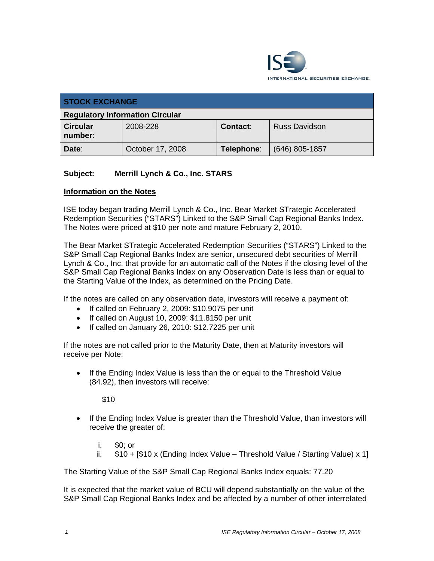

| <b>STOCK EXCHANGE</b>                  |                  |            |                      |  |  |
|----------------------------------------|------------------|------------|----------------------|--|--|
| <b>Regulatory Information Circular</b> |                  |            |                      |  |  |
| <b>Circular</b><br>number:             | 2008-228         | Contact:   | <b>Russ Davidson</b> |  |  |
| Date:                                  | October 17, 2008 | Telephone: | $(646)$ 805-1857     |  |  |

## **Subject: Merrill Lynch & Co., Inc. STARS**

## **Information on the Notes**

ISE today began trading Merrill Lynch & Co., Inc. Bear Market STrategic Accelerated Redemption Securities ("STARS") Linked to the S&P Small Cap Regional Banks Index. The Notes were priced at \$10 per note and mature February 2, 2010.

The Bear Market STrategic Accelerated Redemption Securities ("STARS") Linked to the S&P Small Cap Regional Banks Index are senior, unsecured debt securities of Merrill Lynch & Co., Inc. that provide for an automatic call of the Notes if the closing level of the S&P Small Cap Regional Banks Index on any Observation Date is less than or equal to the Starting Value of the Index, as determined on the Pricing Date.

If the notes are called on any observation date, investors will receive a payment of:

- If called on February 2, 2009: \$10.9075 per unit
- If called on August 10, 2009: \$11.8150 per unit
- If called on January 26, 2010: \$12.7225 per unit

If the notes are not called prior to the Maturity Date, then at Maturity investors will receive per Note:

• If the Ending Index Value is less than the or equal to the Threshold Value (84.92), then investors will receive:

\$10

- If the Ending Index Value is greater than the Threshold Value, than investors will receive the greater of:
	- i. \$0; or
	- ii.  $$10 + [$10 x (Ending Index Value Threshold Value / Starting Value) x 1]$

The Starting Value of the S&P Small Cap Regional Banks Index equals: 77.20

It is expected that the market value of BCU will depend substantially on the value of the S&P Small Cap Regional Banks Index and be affected by a number of other interrelated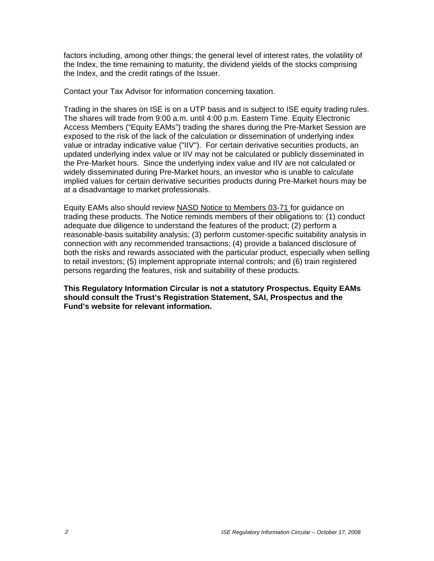factors including, among other things; the general level of interest rates, the volatility of the Index, the time remaining to maturity, the dividend yields of the stocks comprising the Index, and the credit ratings of the Issuer.

Contact your Tax Advisor for information concerning taxation.

Trading in the shares on ISE is on a UTP basis and is subject to ISE equity trading rules. The shares will trade from 9:00 a.m. until 4:00 p.m. Eastern Time. Equity Electronic Access Members ("Equity EAMs") trading the shares during the Pre-Market Session are exposed to the risk of the lack of the calculation or dissemination of underlying index value or intraday indicative value ("IIV"). For certain derivative securities products, an updated underlying index value or IIV may not be calculated or publicly disseminated in the Pre-Market hours. Since the underlying index value and IIV are not calculated or widely disseminated during Pre-Market hours, an investor who is unable to calculate implied values for certain derivative securities products during Pre-Market hours may be at a disadvantage to market professionals.

Equity EAMs also should review NASD Notice to Members 03-71 for guidance on trading these products. The Notice reminds members of their obligations to: (1) conduct adequate due diligence to understand the features of the product; (2) perform a reasonable-basis suitability analysis; (3) perform customer-specific suitability analysis in connection with any recommended transactions; (4) provide a balanced disclosure of both the risks and rewards associated with the particular product, especially when selling to retail investors; (5) implement appropriate internal controls; and (6) train registered persons regarding the features, risk and suitability of these products.

**This Regulatory Information Circular is not a statutory Prospectus. Equity EAMs should consult the Trust's Registration Statement, SAI, Prospectus and the Fund's website for relevant information.**